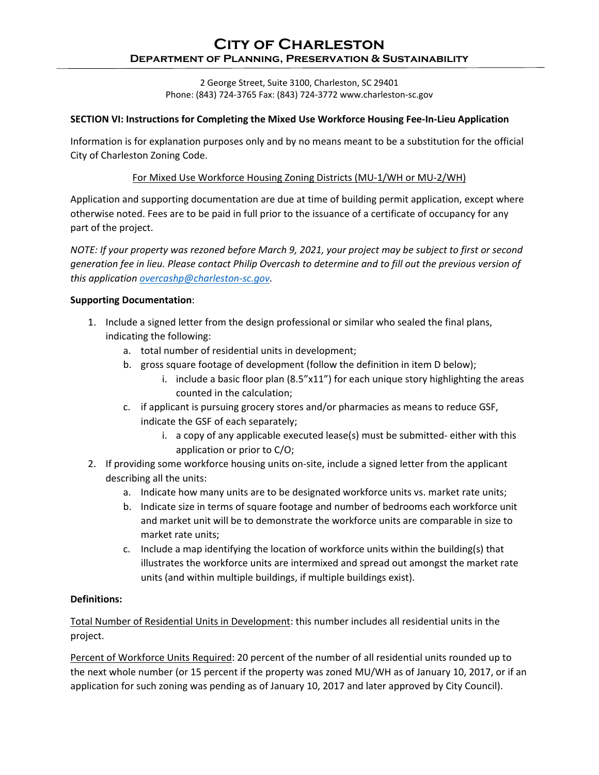# **City of Charleston Department of Planning, Preservation & Sustainability**

2 George Street, Suite 3100, Charleston, SC 29401 Phone: (843) 724-3765 Fax: (843) 724-3772 www.charleston-sc.gov

### **SECTION VI: Instructions for Completing the Mixed Use Workforce Housing Fee-In-Lieu Application**

Information is for explanation purposes only and by no means meant to be a substitution for the official City of Charleston Zoning Code.

### For Mixed Use Workforce Housing Zoning Districts (MU-1/WH or MU-2/WH)

Application and supporting documentation are due at time of building permit application, except where otherwise noted. Fees are to be paid in full prior to the issuance of a certificate of occupancy for any part of the project.

*NOTE: If your property was rezoned before March 9, 2021, your project may be subject to first or second generation fee in lieu. Please contact Philip Overcash to determine and to fill out the previous version of this application [overcashp@charleston-sc.gov.](mailto:overcashp@charleston-sc.gov)*

#### **Supporting Documentation**:

- 1. Include a signed letter from the design professional or similar who sealed the final plans, indicating the following:
	- a. total number of residential units in development;
	- b. gross square footage of development (follow the definition in item D below);
		- i. include a basic floor plan (8.5"x11") for each unique story highlighting the areas counted in the calculation;
	- c. if applicant is pursuing grocery stores and/or pharmacies as means to reduce GSF, indicate the GSF of each separately;
		- i. a copy of any applicable executed lease(s) must be submitted- either with this application or prior to C/O;
- 2. If providing some workforce housing units on-site, include a signed letter from the applicant describing all the units:
	- a. Indicate how many units are to be designated workforce units vs. market rate units;
	- b. Indicate size in terms of square footage and number of bedrooms each workforce unit and market unit will be to demonstrate the workforce units are comparable in size to market rate units;
	- c. Include a map identifying the location of workforce units within the building(s) that illustrates the workforce units are intermixed and spread out amongst the market rate units (and within multiple buildings, if multiple buildings exist).

#### **Definitions:**

Total Number of Residential Units in Development: this number includes all residential units in the project.

Percent of Workforce Units Required: 20 percent of the number of all residential units rounded up to the next whole number (or 15 percent if the property was zoned MU/WH as of January 10, 2017, or if an application for such zoning was pending as of January 10, 2017 and later approved by City Council).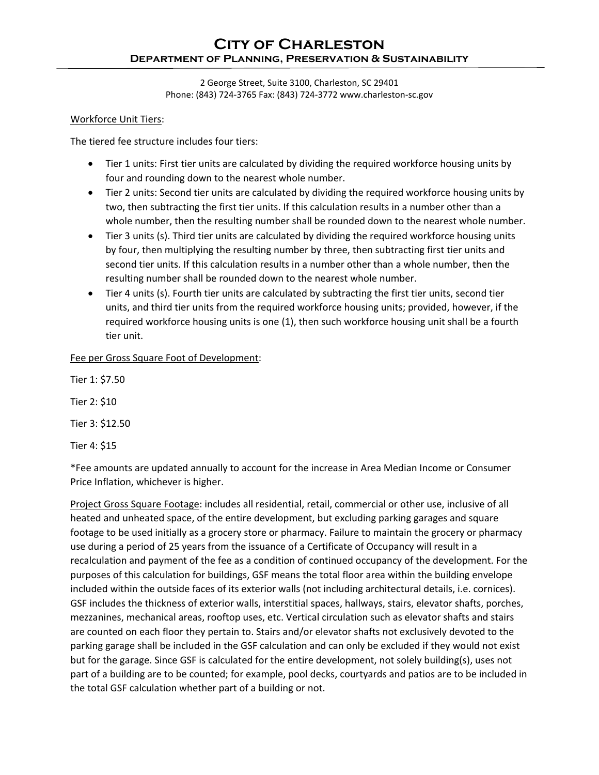# **City of Charleston Department of Planning, Preservation & Sustainability**

2 George Street, Suite 3100, Charleston, SC 29401 Phone: (843) 724-3765 Fax: (843) 724-3772 www.charleston-sc.gov

### Workforce Unit Tiers:

The tiered fee structure includes four tiers:

- Tier 1 units: First tier units are calculated by dividing the required workforce housing units by four and rounding down to the nearest whole number.
- Tier 2 units: Second tier units are calculated by dividing the required workforce housing units by two, then subtracting the first tier units. If this calculation results in a number other than a whole number, then the resulting number shall be rounded down to the nearest whole number.
- Tier 3 units (s). Third tier units are calculated by dividing the required workforce housing units by four, then multiplying the resulting number by three, then subtracting first tier units and second tier units. If this calculation results in a number other than a whole number, then the resulting number shall be rounded down to the nearest whole number.
- Tier 4 units (s). Fourth tier units are calculated by subtracting the first tier units, second tier units, and third tier units from the required workforce housing units; provided, however, if the required workforce housing units is one (1), then such workforce housing unit shall be a fourth tier unit.

Fee per Gross Square Foot of Development:

Tier 1: \$7.50

Tier 2: \$10

Tier 3: \$12.50

Tier 4: \$15

\*Fee amounts are updated annually to account for the increase in Area Median Income or Consumer Price Inflation, whichever is higher.

Project Gross Square Footage: includes all residential, retail, commercial or other use, inclusive of all heated and unheated space, of the entire development, but excluding parking garages and square footage to be used initially as a grocery store or pharmacy. Failure to maintain the grocery or pharmacy use during a period of 25 years from the issuance of a Certificate of Occupancy will result in a recalculation and payment of the fee as a condition of continued occupancy of the development. For the purposes of this calculation for buildings, GSF means the total floor area within the building envelope included within the outside faces of its exterior walls (not including architectural details, i.e. cornices). GSF includes the thickness of exterior walls, interstitial spaces, hallways, stairs, elevator shafts, porches, mezzanines, mechanical areas, rooftop uses, etc. Vertical circulation such as elevator shafts and stairs are counted on each floor they pertain to. Stairs and/or elevator shafts not exclusively devoted to the parking garage shall be included in the GSF calculation and can only be excluded if they would not exist but for the garage. Since GSF is calculated for the entire development, not solely building(s), uses not part of a building are to be counted; for example, pool decks, courtyards and patios are to be included in the total GSF calculation whether part of a building or not.